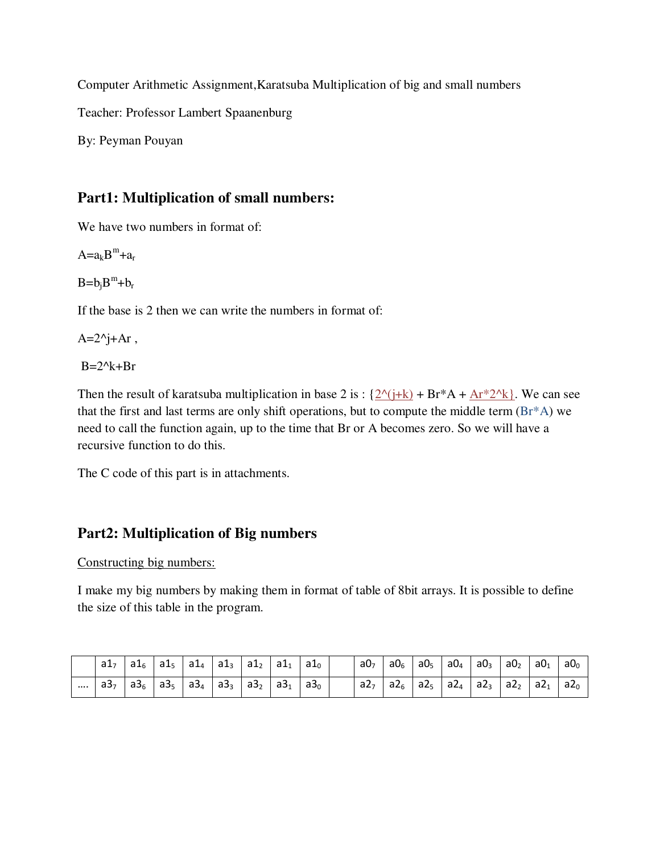Computer Arithmetic Assignment,Karatsuba Multiplication of big and small numbers

Teacher: Professor Lambert Spaanenburg

By: Peyman Pouyan

## **Part1: Multiplication of small numbers:**

We have two numbers in format of:

 $A=a_kB^m+a_r$ 

 $B = b_j B^m + b_r$ 

If the base is 2 then we can write the numbers in format of:

 $A=2^i+Ar$ ,

 $B=2^k+Br$ 

Then the result of karatsuba multiplication in base 2 is :  $\{2^{\wedge}$ (j+k) + Br\*A + Ar\*2^k}. We can see that the first and last terms are only shift operations, but to compute the middle term (Br\*A) we need to call the function again, up to the time that Br or A becomes zero. So we will have a recursive function to do this.

The C code of this part is in attachments.

### **Part2: Multiplication of Big numbers**

Constructing big numbers:

I make my big numbers by making them in format of table of 8bit arrays. It is possible to define the size of this table in the program.

|          | a1 <sub>7</sub> | $a1_6$   $a1_5$   $a1_4$   $a1_3$   $a1_2$   $a1_1$ |  |  | a1 <sub>0</sub> | a0 <sub>7</sub> | a $0_{6}$ | $a0_5$ $a0_4$ | a0 <sub>3</sub>                                                                                                                                 | $a_0$ | a0 <sub>1</sub> | $a_0$             |
|----------|-----------------|-----------------------------------------------------|--|--|-----------------|-----------------|-----------|---------------|-------------------------------------------------------------------------------------------------------------------------------------------------|-------|-----------------|-------------------|
| $\cdots$ | a3 <sub>7</sub> | $a3_6$   $a3_5$   $a3_4$   $a3_3$   $a3_2$   $a3_1$ |  |  | a3 <sub>0</sub> |                 |           |               | $\parallel$ a2 $_{6}$ $\parallel$ a2 $_{5}$ $\parallel$ a2 $_{4}$ $\parallel$ a2 $_{3}$ $\parallel$ a2 $_{2}$ $\parallel$ a2 $_{1}$ $\parallel$ |       |                 | $\perp$ a2 $\sim$ |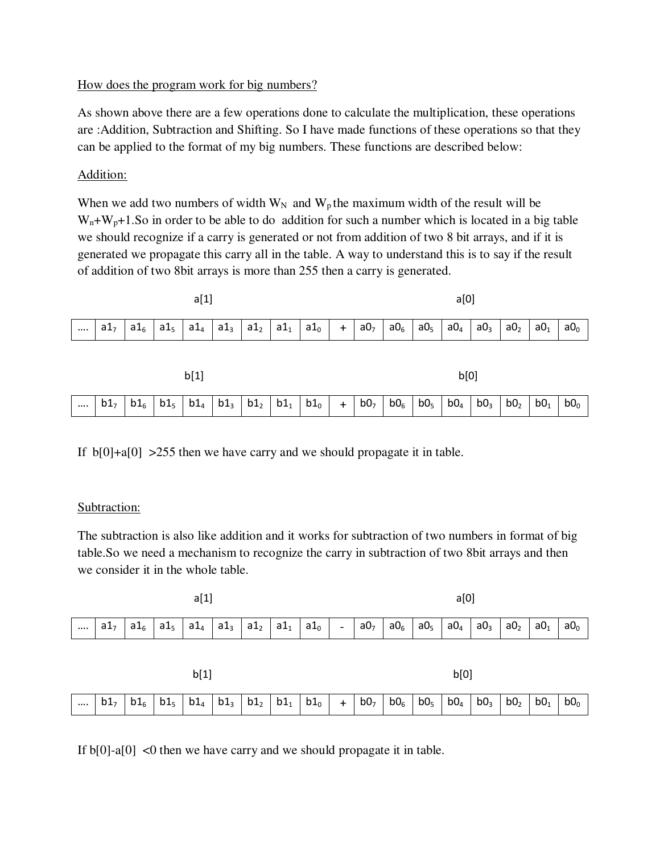#### How does the program work for big numbers?

As shown above there are a few operations done to calculate the multiplication, these operations are :Addition, Subtraction and Shifting. So I have made functions of these operations so that they can be applied to the format of my big numbers. These functions are described below:

#### Addition:

When we add two numbers of width  $W_N$  and  $W_p$  the maximum width of the result will be  $W_n+W_n+1$ . So in order to be able to do addition for such a number which is located in a big table we should recognize if a carry is generated or not from addition of two 8 bit arrays, and if it is generated we propagate this carry all in the table. A way to understand this is to say if the result of addition of two 8bit arrays is more than 255 then a carry is generated.

| a[1]     |                 |        |                 |        |  |                          |  |        |     | a[0]            |        |                 |                 |                 |                 |                 |                 |  |  |
|----------|-----------------|--------|-----------------|--------|--|--------------------------|--|--------|-----|-----------------|--------|-----------------|-----------------|-----------------|-----------------|-----------------|-----------------|--|--|
| $\cdots$ | a1 <sub>7</sub> | $a1_6$ | a1 <sub>5</sub> | $a1_4$ |  | $a1_3$   $a1_2$   $a1_1$ |  | $a1_0$ | $+$ | a0 <sub>7</sub> | $a0_6$ | a0 <sub>5</sub> | a0 <sub>4</sub> | a0 <sub>3</sub> | a0 <sub>2</sub> | a0 <sub>1</sub> | a0 <sub>0</sub> |  |  |
|          |                 |        |                 |        |  |                          |  |        |     |                 |        |                 |                 |                 |                 |                 |                 |  |  |
| b[1]     |                 |        |                 |        |  |                          |  |        |     | b[0]            |        |                 |                 |                 |                 |                 |                 |  |  |

....  $\mid b1_7 \mid b1_6 \mid b1_5 \mid b1_4 \mid b1_3 \mid b1_2 \mid b1_1 \mid b1_0 \mid + \mid b0_7 \mid b0_6 \mid b0_5 \mid b0_4 \mid b0_3 \mid b0_2 \mid b0_1 \mid b0_0$ 

If  $b[0]+a[0] > 255$  then we have carry and we should propagate it in table.

#### Subtraction:

The subtraction is also like addition and it works for subtraction of two numbers in format of big table.So we need a mechanism to recognize the carry in subtraction of two 8bit arrays and then we consider it in the whole table.

|          |                 |        | a[0]            |        |                 |                 |                 |        |           |                 |                 |                 |                 |                 |                 |                 |                 |
|----------|-----------------|--------|-----------------|--------|-----------------|-----------------|-----------------|--------|-----------|-----------------|-----------------|-----------------|-----------------|-----------------|-----------------|-----------------|-----------------|
| $\cdots$ | a1 <sub>7</sub> | $a1_6$ | a1 <sub>5</sub> | $a1_4$ | a1 <sub>3</sub> | a1 <sub>2</sub> | a1 <sub>1</sub> | $a1_0$ | -         | a0 <sub>7</sub> | a0 <sub>6</sub> | a0 <sub>5</sub> | a0 <sub>4</sub> | a0 <sub>3</sub> | a0 <sub>2</sub> | a0 <sub>1</sub> | a0 <sub>0</sub> |
|          |                 |        |                 |        |                 |                 |                 |        |           |                 |                 |                 |                 |                 |                 |                 |                 |
|          | b[1]            |        |                 |        |                 |                 |                 |        |           |                 |                 |                 | b[0]            |                 |                 |                 |                 |
| $\cdots$ | b1 <sub>7</sub> | $b1_6$ | b1 <sub>5</sub> | $b1_4$ | $b1_3$          | b1 <sub>2</sub> | $b1_1$          | $b1_0$ | $\ddot{}$ | b0 <sub>7</sub> | b0 <sub>6</sub> | b0 <sub>5</sub> | b0 <sub>4</sub> | b0 <sub>3</sub> | b0 <sub>2</sub> | b0 <sub>1</sub> | b0 <sub>0</sub> |

If  $b[0]-a[0]$  <0 then we have carry and we should propagate it in table.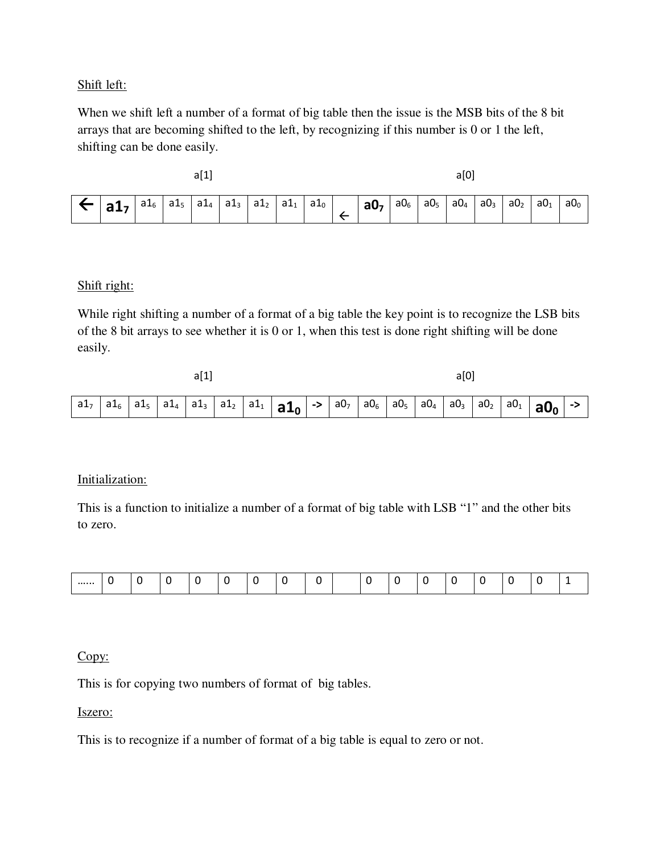Shift left:

When we shift left a number of a format of big table then the issue is the MSB bits of the 8 bit arrays that are becoming shifted to the left, by recognizing if this number is 0 or 1 the left, shifting can be done easily.

 $a[1]$  and a set of  $a[0]$ 

|  |  | $\sim$ 1<br>$d_{\perp 6}$ | ∽<br>a ts<br>--- | d⊥∆ | $\sim$ 1<br>d La | a 12 | aт<br>- | $\overline{\phantom{0}}$<br>d⊥∩ |  | au, | $aU_6$ | a0, | $a0_a$ | a0 <sub>3</sub> | a0 <sub>2</sub> | a0 <sub>1</sub> | a0 <sub>o</sub> |
|--|--|---------------------------|------------------|-----|------------------|------|---------|---------------------------------|--|-----|--------|-----|--------|-----------------|-----------------|-----------------|-----------------|
|--|--|---------------------------|------------------|-----|------------------|------|---------|---------------------------------|--|-----|--------|-----|--------|-----------------|-----------------|-----------------|-----------------|

#### Shift right:

While right shifting a number of a format of a big table the key point is to recognize the LSB bits of the 8 bit arrays to see whether it is 0 or 1, when this test is done right shifting will be done easily.

| a[1] |  |  |  |  |  |  |  |  |  | a[0] |  |  |                                                                                                                                                                                                                                                                             |  |
|------|--|--|--|--|--|--|--|--|--|------|--|--|-----------------------------------------------------------------------------------------------------------------------------------------------------------------------------------------------------------------------------------------------------------------------------|--|
|      |  |  |  |  |  |  |  |  |  |      |  |  | $a_1$ a1 <sub>5</sub> a1 <sub>5</sub> a1 <sub>4</sub> a1 <sub>3</sub> a1 <sub>2</sub> a1 <sub>1</sub> a1 <sub>9</sub> a1 <sub>9</sub> -> a0 <sub>7</sub> a0 <sub>6</sub> a0 <sub>5</sub> a0 <sub>4</sub> a0 <sub>3</sub> a0 <sub>2</sub> a0 <sub>1</sub> a0 <sub>0</sub> -> |  |

#### Initialization:

This is a function to initialize a number of a format of big table with LSB "1" and the other bits to zero.

Copy:

This is for copying two numbers of format of big tables.

Iszero:

This is to recognize if a number of format of a big table is equal to zero or not.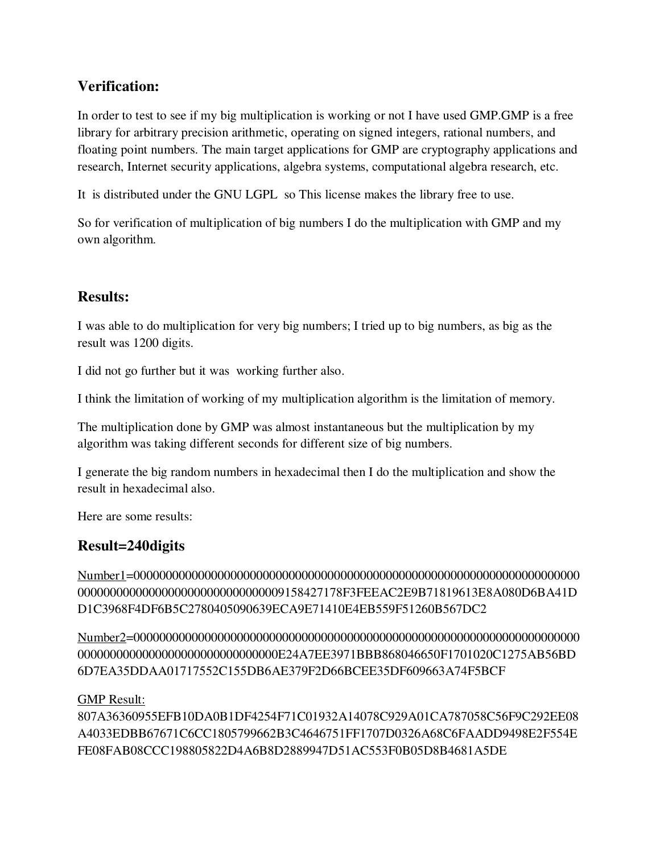## **Verification:**

In order to test to see if my big multiplication is working or not I have used GMP.GMP is a free library for arbitrary precision arithmetic, operating on signed integers, rational numbers, and floating point numbers. The main target applications for GMP are cryptography applications and research, Internet security applications, algebra systems, computational algebra research, etc.

It is distributed under the GNU LGPL so This license makes the library free to use.

So for verification of multiplication of big numbers I do the multiplication with GMP and my own algorithm.

### **Results:**

I was able to do multiplication for very big numbers; I tried up to big numbers, as big as the result was 1200 digits.

I did not go further but it was working further also.

I think the limitation of working of my multiplication algorithm is the limitation of memory.

The multiplication done by GMP was almost instantaneous but the multiplication by my algorithm was taking different seconds for different size of big numbers.

I generate the big random numbers in hexadecimal then I do the multiplication and show the result in hexadecimal also.

Here are some results:

### **Result=240digits**

Number1=000000000000000000000000000000000000000000000000000000000000000000000 00000000000000000000000000000009158427178F3FEEAC2E9B71819613E8A080D6BA41D D1C3968F4DF6B5C2780405090639ECA9E71410E4EB559F51260B567DC2

Number2=000000000000000000000000000000000000000000000000000000000000000000000 0000000000000000000000000000000E24A7EE3971BBB868046650F1701020C1275AB56BD 6D7EA35DDAA01717552C155DB6AE379F2D66BCEE35DF609663A74F5BCF

#### GMP Result:

807A36360955EFB10DA0B1DF4254F71C01932A14078C929A01CA787058C56F9C292EE08 A4033EDBB67671C6CC1805799662B3C4646751FF1707D0326A68C6FAADD9498E2F554E FE08FAB08CCC198805822D4A6B8D2889947D51AC553F0B05D8B4681A5DE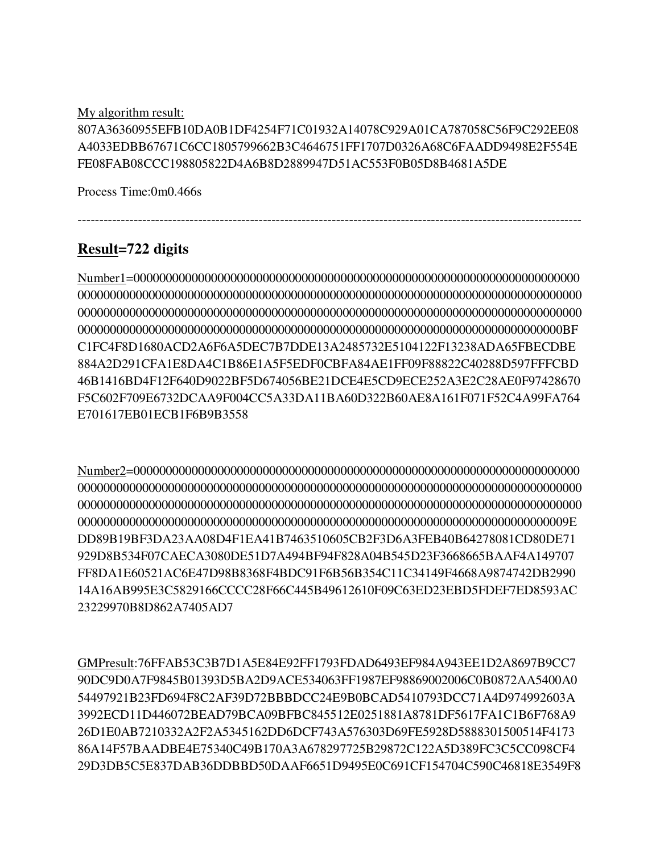My algorithm result:

807A36360955EFB10DA0B1DF4254F71C01932A14078C929A01CA787058C56F9C292EE08 A4033EDBB67671C6CC1805799662B3C4646751FF1707D0326A68C6FAADD9498E2F554E FE08FAB08CCC198805822D4A6B8D2889947D51AC553F0B05D8B4681A5DE

---------------------------------------------------------------------------------------------------------------------

Process Time:0m0.466s

# **Result=722 digits**

Number1=000000000000000000000000000000000000000000000000000000000000000000000 000000000000000000000000000000000000000000000000000000000000000000000000000000 000000000000000000000000000000000000000000000000000000000000000000000000000000 000000000000000000000000000000000000000000000000000000000000000000000000000BF C1FC4F8D1680ACD2A6F6A5DEC7B7DDE13A2485732E5104122F13238ADA65FBECDBE 884A2D291CFA1E8DA4C1B86E1A5F5EDF0CBFA84AE1FF09F88822C40288D597FFFCBD 46B1416BD4F12F640D9022BF5D674056BE21DCE4E5CD9ECE252A3E2C28AE0F97428670 F5C602F709E6732DCAA9F004CC5A33DA11BA60D322B60AE8A161F071F52C4A99FA764 E701617EB01ECB1F6B9B3558

Number2=000000000000000000000000000000000000000000000000000000000000000000000 000000000000000000000000000000000000000000000000000000000000000000000000000000 000000000000000000000000000000000000000000000000000000000000000000000000000000 0000000000000000000000000000000000000000000000000000000000000000000000000009E DD89B19BF3DA23AA08D4F1EA41B7463510605CB2F3D6A3FEB40B64278081CD80DE71 929D8B534F07CAECA3080DE51D7A494BF94F828A04B545D23F3668665BAAF4A149707 FF8DA1E60521AC6E47D98B8368F4BDC91F6B56B354C11C34149F4668A9874742DB2990 14A16AB995E3C5829166CCCC28F66C445B49612610F09C63ED23EBD5FDEF7ED8593AC 23229970B8D862A7405AD7

GMPresult:76FFAB53C3B7D1A5E84E92FF1793FDAD6493EF984A943EE1D2A8697B9CC7 90DC9D0A7F9845B01393D5BA2D9ACE534063FF1987EF98869002006C0B0872AA5400A0 54497921B23FD694F8C2AF39D72BBBDCC24E9B0BCAD5410793DCC71A4D974992603A 3992ECD11D446072BEAD79BCA09BFBC845512E0251881A8781DF5617FA1C1B6F768A9 26D1E0AB7210332A2F2A5345162DD6DCF743A576303D69FE5928D5888301500514F4173 86A14F57BAADBE4E75340C49B170A3A678297725B29872C122A5D389FC3C5CC098CF4 29D3DB5C5E837DAB36DDBBD50DAAF6651D9495E0C691CF154704C590C46818E3549F8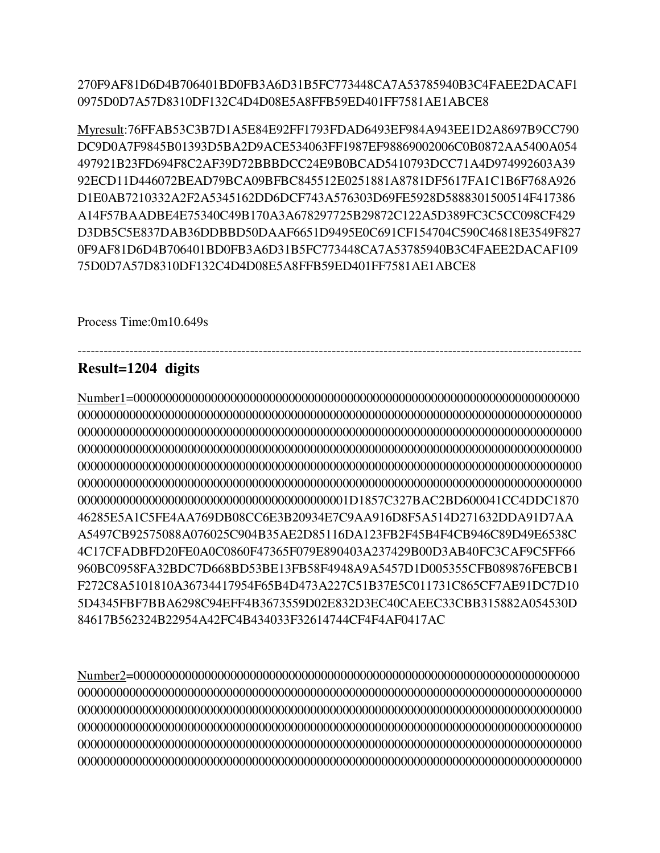270F9AF81D6D4B706401BD0FB3A6D31B5FC773448CA7A53785940B3C4FAEE2DACAF1 0975D0D7A57D8310DF132C4D4D08E5A8FFB59ED401FF7581AE1ABCE8

Myresult:76FFAB53C3B7D1A5E84E92FF1793FDAD6493EF984A943EE1D2A8697B9CC790 DC9D0A7F9845B01393D5BA2D9ACE534063FF1987EF98869002006C0B0872AA5400A054 497921B23FD694F8C2AF39D72BBBDCC24E9B0BCAD5410793DCC71A4D974992603A39 92ECD11D446072BEAD79BCA09BFBC845512E0251881A8781DF5617FA1C1B6F768A926 D1E0AB7210332A2F2A5345162DD6DCF743A576303D69FE5928D5888301500514F417386 A14F57BAADBE4E75340C49B170A3A678297725B29872C122A5D389FC3C5CC098CF429 D3DB5C5E837DAB36DDBBD50DAAF6651D9495E0C691CF154704C590C46818E3549F827 0F9AF81D6D4B706401BD0FB3A6D31B5FC773448CA7A53785940B3C4FAEE2DACAF109 75D0D7A57D8310DF132C4D4D08E5A8FFB59ED401FF7581AE1ABCE8

Process Time:0m10.649s

## Result=1204 digits

46285E5A1C5FE4AA769DB08CC6E3B20934E7C9AA916D8F5A514D271632DDA91D7AA A5497CB92575088A076025C904B35AE2D85116DA123FB2F45B4F4CB946C89D49E6538C 4C17CFADBFD20FE0A0C0860F47365F079E890403A237429B00D3AB40FC3CAF9C5FF66 960BC0958FA32BDC7D668BD53BE13FB58F4948A9A5457D1D005355CFB089876FEBCB1 F272C8A5101810A36734417954F65B4D473A227C51B37E5C011731C865CF7AE91DC7D10 5D4345FBF7BBA6298C94EFF4B3673559D02E832D3EC40CAEEC33CBB315882A054530D 84617B562324B22954A42FC4B434033F32614744CF4F4AF0417AC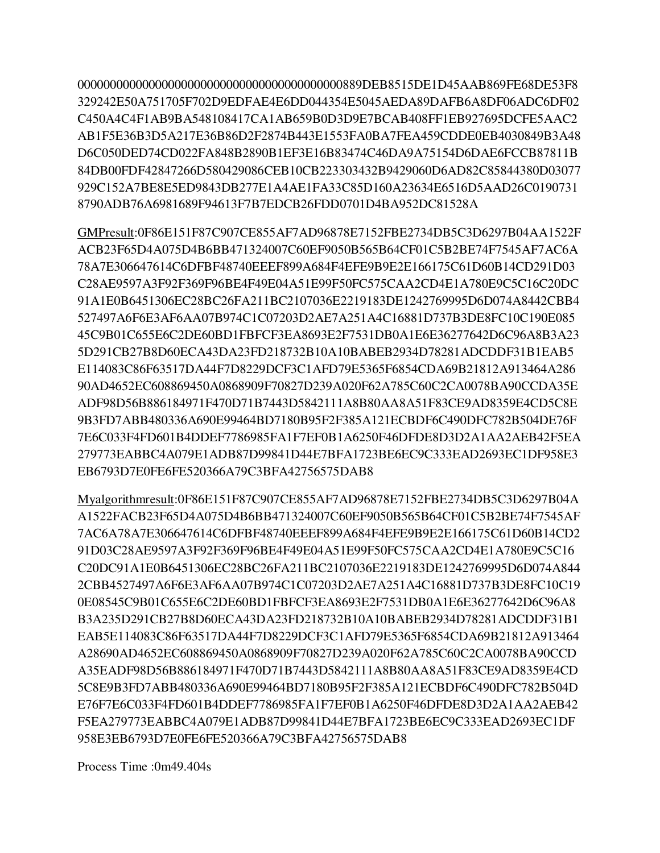329242E50A751705F702D9EDFAE4E6DD044354E5045AEDA89DAFB6A8DF06ADC6DF02 C450A4C4F1AB9BA548108417CA1AB659B0D3D9E7BCAB408FF1EB927695DCFE5AAC2 AB1F5E36B3D5A217E36B86D2F2874B443E1553FA0BA7FEA459CDDE0EB4030849B3A48 D6C050DED74CD022FA848B2890B1EF3E16B83474C46DA9A75154D6DAE6FCCB87811B 84DB00FDF42847266D580429086CEB10CB223303432B9429060D6AD82C85844380D03077 929C152A7BE8E5ED9843DB277E1A4AE1FA33C85D160A23634E6516D5AAD26C0190731 8790ADB76A6981689F94613F7B7EDCB26FDD0701D4BA952DC81528A

GMPresult:0F86E151F87C907CE855AF7AD96878E7152FBE2734DB5C3D6297B04AA1522F ACB23F65D4A075D4B6BB471324007C60EF9050B565B64CF01C5B2BE74F7545AF7AC6A 78A7E306647614C6DFBF48740EEEF899A684F4EFE9B9E2E166175C61D60B14CD291D03 C28AE9597A3F92F369F96BE4F49E04A51E99F50FC575CAA2CD4E1A780E9C5C16C20DC 91A1E0B6451306EC28BC26FA211BC2107036E2219183DE1242769995D6D074A8442CBB4 527497A6F6E3AF6AA07B974C1C07203D2AE7A251A4C16881D737B3DE8FC10C190E085 45C9B01C655E6C2DE60BD1FBFCF3EA8693E2F7531DB0A1E6E36277642D6C96A8B3A23 5D291CB27B8D60ECA43DA23FD218732B10A10BABEB2934D78281ADCDDF31B1EAB5 E114083C86F63517DA44F7D8229DCF3C1AFD79E5365F6854CDA69B21812A913464A286 90AD4652EC608869450A0868909F70827D239A020F62A785C60C2CA0078BA90CCDA35E ADF98D56B886184971F470D71B7443D5842111A8B80AA8A51F83CE9AD8359E4CD5C8E 9B3FD7ABB480336A690E99464BD7180B95F2F385A121ECBDF6C490DFC782B504DE76F 7E6C033F4FD601B4DDEF7786985FA1F7EF0B1A6250F46DFDE8D3D2A1AA2AEB42F5EA 279773EABBC4A079E1ADB87D99841D44E7BFA1723BE6EC9C333EAD2693EC1DF958E3 EB6793D7E0FE6FE520366A79C3BFA42756575DAB8

Myalgorithmresult:0F86E151F87C907CE855AF7AD96878E7152FBE2734DB5C3D6297B04A A1522FACB23F65D4A075D4B6BB471324007C60EF9050B565B64CF01C5B2BE74F7545AF 7AC6A78A7E306647614C6DFBF48740EEEF899A684F4EFE9B9E2E166175C61D60B14CD2 91D03C28AE9597A3F92F369F96BE4F49E04A51E99F50FC575CAA2CD4E1A780E9C5C16 C20DC91A1E0B6451306EC28BC26FA211BC2107036E2219183DE1242769995D6D074A844 2CBB4527497A6F6E3AF6AA07B974C1C07203D2AE7A251A4C16881D737B3DE8FC10C19 0E08545C9B01C655E6C2DE60BD1FBFCF3EA8693E2F7531DB0A1E6E36277642D6C96A8 B3A235D291CB27B8D60ECA43DA23FD218732B10A10BABEB2934D78281ADCDDF31B1 EAB5E114083C86F63517DA44F7D8229DCF3C1AFD79E5365F6854CDA69B21812A913464 A28690AD4652EC608869450A0868909F70827D239A020F62A785C60C2CA0078BA90CCD A35EADF98D56B886184971F470D71B7443D5842111A8B80AA8A51F83CE9AD8359E4CD 5C8E9B3FD7ABB480336A690E99464BD7180B95F2F385A121ECBDF6C490DFC782B504D E76F7E6C033F4FD601B4DDEF7786985FA1F7EF0B1A6250F46DFDE8D3D2A1AA2AEB42 F5EA279773EABBC4A079E1ADB87D99841D44E7BFA1723BE6EC9C333EAD2693EC1DF 958E3EB6793D7E0FE6FE520366A79C3BFA42756575DAB8

Process Time: 0m49.404s